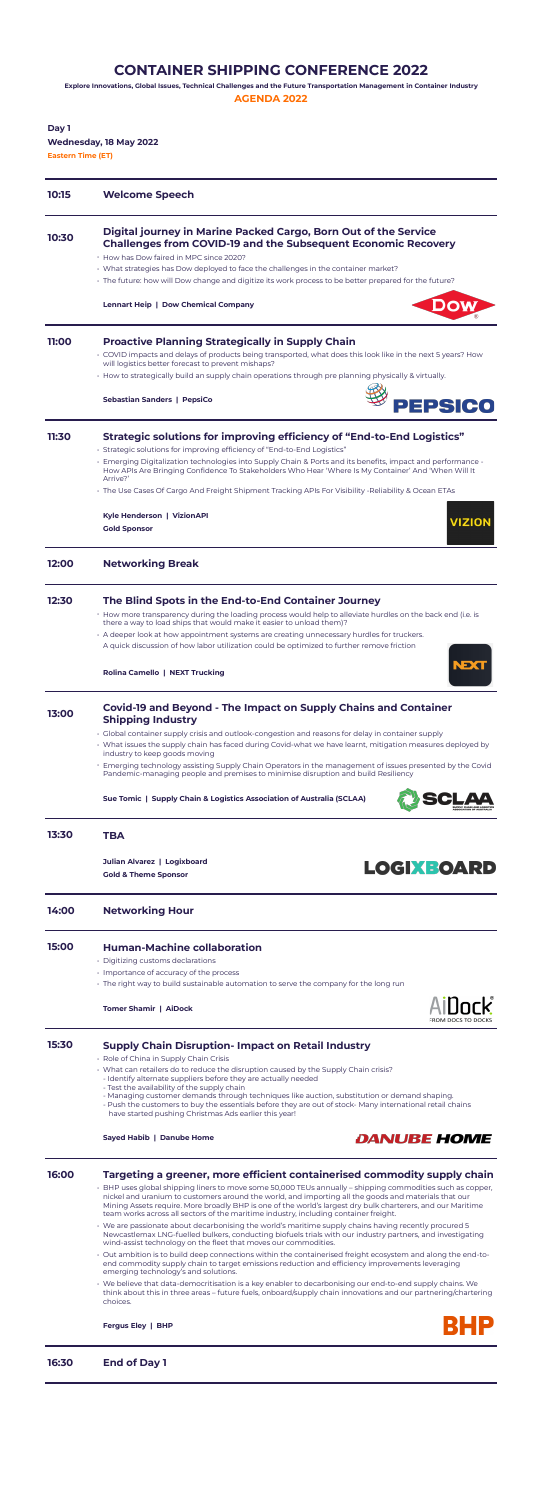# **CONTAINER SHIPPING CONFERENCE 2022**

**Explore Innovations, Global Issues, Technical Challenges and the Future Transportation Management in Container Industry**

**AGENDA 2022**

**Day 1 Wednesday, 18 May 2022 Eastern Time (ET)**

| 10:15 | <b>Welcome Speech</b>                                                                                                                                                                                                          |
|-------|--------------------------------------------------------------------------------------------------------------------------------------------------------------------------------------------------------------------------------|
| 10:30 | Digital journey in Marine Packed Cargo, Born Out of the Service<br><b>Challenges from COVID-19 and the Subsequent Economic Recovery</b>                                                                                        |
|       | • How has Dow faired in MPC since 2020?                                                                                                                                                                                        |
|       | · What strategies has Dow deployed to face the challenges in the container market?                                                                                                                                             |
|       | . The future: how will Dow change and digitize its work process to be better prepared for the future?                                                                                                                          |
|       | <b>Lennart Heip   Dow Chemical Company</b>                                                                                                                                                                                     |
| 11:00 | <b>Proactive Planning Strategically in Supply Chain</b>                                                                                                                                                                        |
|       | $\cdot$ COVID impacts and delays of products being transported, what does this look like in the next 5 years? How<br>will logistics better forecast to prevent mishaps?                                                        |
|       | · How to strategically build an supply chain operations through pre planning physically & virtually.                                                                                                                           |
|       | <b>Sebastian Sanders   PepsiCo</b><br><b>PEPSICO</b>                                                                                                                                                                           |
| 11:30 | Strategic solutions for improving efficiency of "End-to-End Logistics"                                                                                                                                                         |
|       | · Strategic solutions for improving efficiency of "End-to-End Logistics"                                                                                                                                                       |
|       | · Emerging Digitalization technologies into Supply Chain & Ports and its benefits, impact and performance -<br>How APIs Are Bringing Confidence To Stakeholders Who Hear 'Where Is My Container' And 'When Will It<br>Arrive?' |
|       | The Use Cases Of Cargo And Freight Shipment Tracking APIs For Visibility -Reliability & Ocean ETAs •                                                                                                                           |
|       | Kyle Henderson   VizionAPI<br><b>VIZION</b>                                                                                                                                                                                    |
|       | <b>Gold Sponsor</b>                                                                                                                                                                                                            |
| 12:00 | <b>Networking Break</b>                                                                                                                                                                                                        |
| 12:30 | The Blind Spots in the End-to-End Container Journey                                                                                                                                                                            |
|       | . How more transparency during the loading process would help to alleviate hurdles on the back end (i.e. is<br>there a way to load ships that would make it easier to unload them)?                                            |
|       | $\cdot$ A deeper look at how appointment systems are creating unnecessary hurdles for truckers.                                                                                                                                |
|       | A quick discussion of how labor utilization could be optimized to further remove friction<br>VEX                                                                                                                               |
|       | <b>Rolina Camello   NEXT Trucking</b>                                                                                                                                                                                          |
| 17.66 | <b>Covid-19 and Beyond - The Impact on Supply Chains and Container</b>                                                                                                                                                         |

# **13:00 Covid-19 and Beyond - The Impact on Supply Chains and Container Shipping Industry**

- Global container supply crisis and outlook-congestion and reasons for delay in container supply
- What issues the supply chain has faced during Covid-what we have learnt, mitigation measures deployed by industry to keep goods moving
- Emerging technology assisting Supply Chain Operators in the management of issues presented by the Covid Pandemic-managing people and premises to minimise disruption and build Resiliency

**Sue Tomic | Supply Chain & Logistics Association of Australia (SCLAA)**



# **13:30 TBA**

**Julian Alvarez | Logixboard Gold & Theme Sponsor**

# **LOGIXBOARD**

## **14:00 Networking Hour**

# **15:00 Human-Machine collaboration**

• Digitizing customs declarations

- Importance of accuracy of the process
- The right way to build sustainable automation to serve the company for the long run

#### **Tomer Shamir | AiDock**



# **15:30 Supply Chain Disruption- Impact on Retail Industry**

- Role of China in Supply Chain Crisis
- What can retailers do to reduce the disruption caused by the Supply Chain crisis?
	- Identify alternate suppliers before they are actually needed
	- Test the availability of the supply chain
	- Managing customer demands through techniques like auction, substitution or demand shaping.
	- Push the customers to buy the essentials before they are out of stock- Many international retail chains have started pushing Christmas Ads earlier this year!

#### **Sayed Habib | Danube Home**



# **16:00 Targeting a greener, more efficient containerised commodity supply chain**

- BHP uses global shipping liners to move some 50,000 TEUs annually shipping commodities such as copper, nickel and uranium to customers around the world, and importing all the goods and materials that our Mining Assets require. More broadly BHP is one of the world's largest dry bulk charterers, and our Maritime team works across all sectors of the maritime industry, including container freight.
- We are passionate about decarbonising the world's maritime supply chains having recently procured 5 Newcastlemax LNG-fuelled bulkers, conducting biofuels trials with our industry partners, and investigating wind-assist technology on the fleet that moves our commodities.
- Out ambition is to build deep connections within the containerised freight ecosystem and along the end-toend commodity supply chain to target emissions reduction and efficiency improvements leveraging emerging technology's and solutions.
- We believe that data-democritisation is a key enabler to decarbonising our end-to-end supply chains. We think about this in three areas – future fuels, onboard/supply chain innovations and our partnering/chartering choices.

**Fergus Eley | BHP**



**16:30 End of Day 1**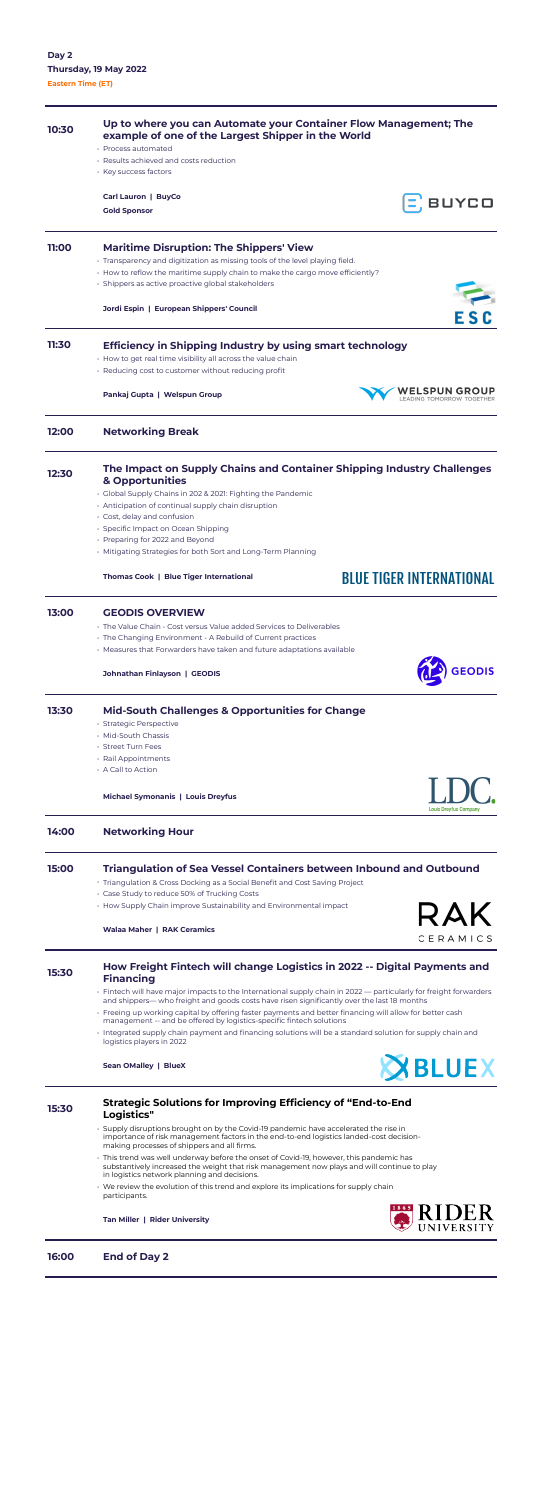# **10:30 Up to where you can Automate your Container Flow Management; The example of one of the Largest Shipper in the World** • Process automated • Results achieved and costs reduction • Key success factors **Carl Lauron | BuyCo**  $\Xi$ , BUYCO **Gold Sponsor 11:00 Maritime Disruption: The Shippers' View** • Transparency and digitization as missing tools of the level playing field. • How to reflow the maritime supply chain to make the cargo move efficiently? • Shippers as active proactive global stakeholders **Jordi Espin | European Shippers' Council 11:30 Efficiency in Shipping Industry by using smart technology** • How to get real time visibility all across the value chain • Reducing cost to customer without reducing profit **WELSPUN GROUP Pankaj Gupta | Welspun Group** LEADING TOMORROW TOGETHER **12:00 Networking Break 12:30 The Impact on Supply Chains and Container Shipping Industry Challenges & Opportunities** • Global Supply Chains in 202 & 2021: Fighting the Pandemic • Anticipation of continual supply chain disruption • Cost, delay and confusion • Specific Impact on Ocean Shipping • Preparing for 2022 and Beyond • Mitigating Strategies for both Sort and Long-Term Planning **BLUE TIGER INTERNATIONAL Thomas Cook | Blue Tiger International 13:00 GEODIS OVERVIEW** • The Value Chain - Cost versus Value added Services to Deliverables • The Changing Environment - A Rebuild of Current practices • Measures that Forwarders have taken and future adaptations available **GEODIS Johnathan Finlayson | GEODIS**

# **13:30 Mid-South Challenges & Opportunities for Change**

- Strategic Perspective
- Mid-South Chassis
- Street Turn Fees
- Rail Appointments
- A Call to Action



# **15:00 Triangulation of Sea Vessel Containers between Inbound and Outbound**

- Triangulation & Cross Docking as a Social Benefit and Cost Saving Project
- Case Study to reduce 50% of Trucking Costs
- How Supply Chain improve Sustainability and Environmental impact

### **Walaa Maher | RAK Ceramics**



# **15:30 How Freight Fintech will change Logistics in 2022 -- Digital Payments and Financing**

- Fintech will have major impacts to the International supply chain in 2022 particularly for freight forwarders and shippers— who freight and goods costs have risen significantly over the last 18 months
- Freeing up working capital by offering faster payments and better financing will allow for better cash management -- and be offered by logistics-specific fintech solutions
- Integrated supply chain payment and financing solutions will be a standard solution for supply chain and logistics players in 2022

**Sean OMalley | BlueX**



# **15:30 Strategic Solutions for Improving Efficiency of "End-to-End Logistics"**

- Supply disruptions brought on by the Covid-19 pandemic have accelerated the rise in importance of risk management factors in the end-to-end logistics landed-cost decisionmaking processes of shippers and all firms.
- This trend was well underway before the onset of Covid-19, however, this pandemic has substantively increased the weight that risk management now plays and will continue to play in logistics network planning and decisions.
- We review the evolution of this trend and explore its implications for supply chain participants.

**Tan Miller | Rider University**

**16:00 End of Day 2**